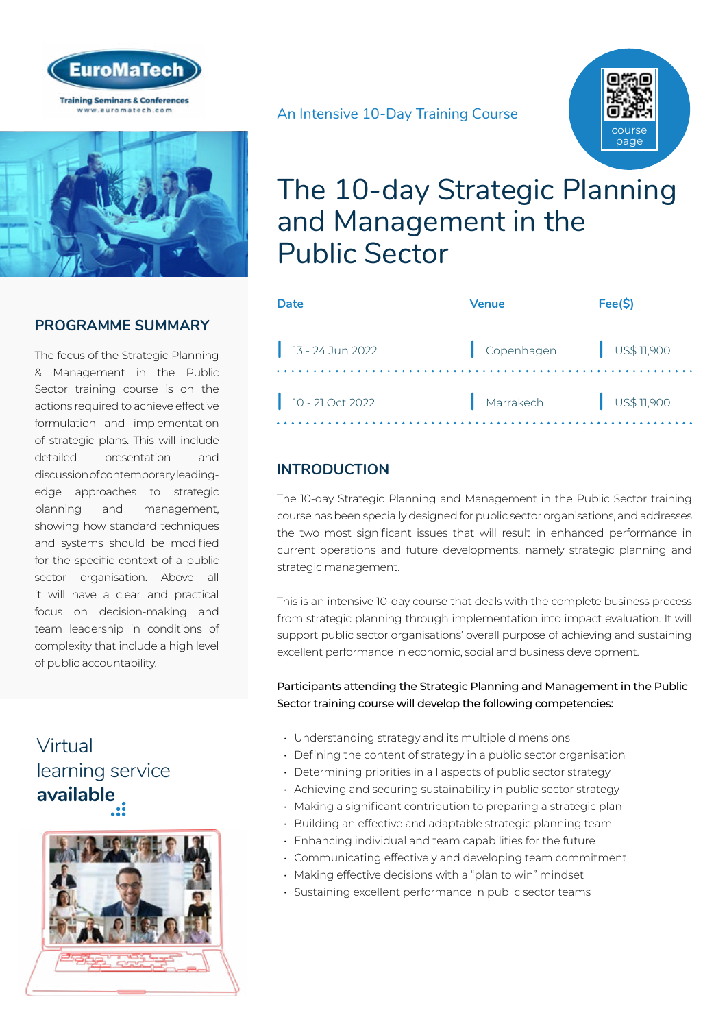



#### **PROGRAMME SUMMARY**

The focus of the Strategic Planning & Management in the Public Sector training course is on the actions required to achieve effective formulation and implementation of strategic plans. This will include detailed presentation and discussion of contemporary leadingedge approaches to strategic planning and management, showing how standard techniques and systems should be modified for the specific context of a public sector organisation. Above all it will have a clear and practical focus on decision-making and team leadership in conditions of complexity that include a high level of public accountability.

## Virtual [learning service](https://www.euromatech.com/seminars/the-10-day-strategic-planning-and-management-in-the-public-sector/)  **available**





## The 10-day Strategic Planning and Management in the Public Sector

| Date               | Venue                   | Fee(S)                |
|--------------------|-------------------------|-----------------------|
| $13 - 24$ Jun 2022 | Copenhagen   US\$11,900 |                       |
| $10 - 21$ Oct 2022 | Marrakech               | $\bigcup$ US\$ 11,900 |

### **INTRODUCTION**

The 10-day Strategic Planning and Management in the Public Sector training course has been specially designed for public sector organisations, and addresses the two most significant issues that will result in enhanced performance in current operations and future developments, namely strategic planning and strategic management.

This is an intensive 10-day course that deals with the complete business process from strategic planning through implementation into impact evaluation. It will support public sector organisations' overall purpose of achieving and sustaining excellent performance in economic, social and business development.

Participants attending the Strategic Planning and Management in the Public Sector training course will develop the following competencies:

- Understanding strategy and its multiple dimensions
- Defining the content of strategy in a public sector organisation
- Determining priorities in all aspects of public sector strategy
- Achieving and securing sustainability in public sector strategy
- Making a significant contribution to preparing a strategic plan
- Building an effective and adaptable strategic planning team
- Enhancing individual and team capabilities for the future
- Communicating effectively and developing team commitment
- Making effective decisions with a "plan to win" mindset
- Sustaining excellent performance in public sector teams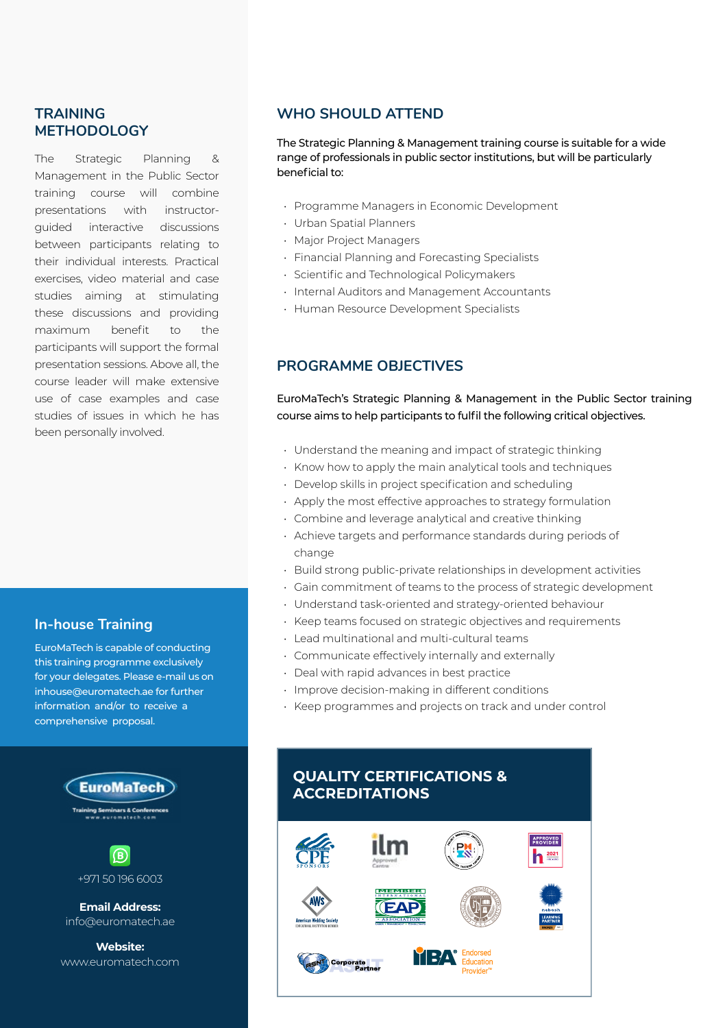#### **TRAINING METHODOLOGY**

The Strategic Planning & Management in the Public Sector training course will combine presentations with instructorguided interactive discussions between participants relating to their individual interests. Practical exercises, video material and case studies aiming at stimulating these discussions and providing maximum benefit to the participants will support the formal presentation sessions. Above all, the course leader will make extensive use of case examples and case studies of issues in which he has been personally involved.

#### **In-house Training**

EuroMaTech is capable of conducting this training programme exclusively for your delegates. Please e-mail us on inhouse@euromatech.ae for further information and/or to receive a comprehensive proposal.





**Email Address:** info@euromatech.ae

**Website:** www.euromatech.com

#### **WHO SHOULD ATTEND**

The Strategic Planning & Management training course is suitable for a wide range of professionals in public sector institutions, but will be particularly beneficial to:

- Programme Managers in Economic Development
- Urban Spatial Planners
- Major Project Managers
- Financial Planning and Forecasting Specialists
- Scientific and Technological Policymakers
- Internal Auditors and Management Accountants
- Human Resource Development Specialists

#### **PROGRAMME OBJECTIVES**

EuroMaTech's Strategic Planning & Management in the Public Sector training course aims to help participants to fulfil the following critical objectives.

- Understand the meaning and impact of strategic thinking
- Know how to apply the main analytical tools and techniques
- Develop skills in project specification and scheduling
- Apply the most effective approaches to strategy formulation
- Combine and leverage analytical and creative thinking
- Achieve targets and performance standards during periods of change
- Build strong public-private relationships in development activities
- Gain commitment of teams to the process of strategic development
- Understand task-oriented and strategy-oriented behaviour
- Keep teams focused on strategic objectives and requirements
- Lead multinational and multi-cultural teams
- Communicate effectively internally and externally
- Deal with rapid advances in best practice
- Improve decision-making in different conditions
- Keep programmes and projects on track and under control

#### **QUALITY CERTIFICATIONS & ACCREDITATIONS**

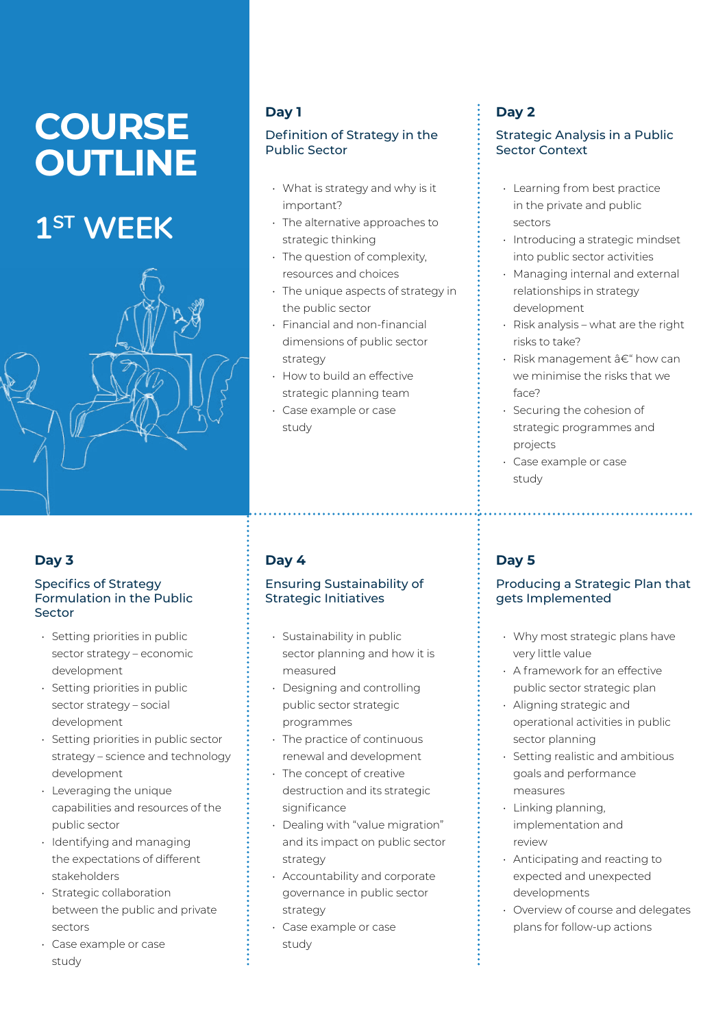# **COURSE OUTLINE**

## **1ST WEEK**



#### **Day 3**

#### Specifics of Strategy Formulation in the Public Sector

- Setting priorities in public sector strategy – economic development
- Setting priorities in public sector strategy – social development
- Setting priorities in public sector strategy – science and technology development
- Leveraging the unique capabilities and resources of the public sector
- Identifying and managing the expectations of different stakeholders
- Strategic collaboration between the public and private sectors
- Case example or case study

## **Day 1**

#### Definition of Strategy in the Public Sector

- What is strategy and why is it important?
- The alternative approaches to strategic thinking
- The question of complexity, resources and choices
- The unique aspects of strategy in the public sector
- Financial and non-financial dimensions of public sector strategy
- How to build an effective strategic planning team
- Case example or case study

## **Day 4**

#### Ensuring Sustainability of Strategic Initiatives

- Sustainability in public sector planning and how it is measured
- Designing and controlling public sector strategic programmes
- The practice of continuous renewal and development
- The concept of creative destruction and its strategic significance
- Dealing with "value migration" and its impact on public sector strategy
- Accountability and corporate governance in public sector strategy
- Case example or case study

## **Day 2**

#### Strategic Analysis in a Public Sector Context

- Learning from best practice in the private and public sectors
- Introducing a strategic mindset into public sector activities
- Managing internal and external relationships in strategy development
- Risk analysis what are the right risks to take?
- Risk management  $a \in \mathscr{C}$  how can we minimise the risks that we face?
- Securing the cohesion of strategic programmes and projects
- Case example or case study

## **Day 5**

#### Producing a Strategic Plan that gets Implemented

- Why most strategic plans have very little value
- A framework for an effective public sector strategic plan
- Aligning strategic and operational activities in public sector planning
- Setting realistic and ambitious goals and performance measures
- Linking planning, implementation and review
- Anticipating and reacting to expected and unexpected developments
- Overview of course and delegates plans for follow-up actions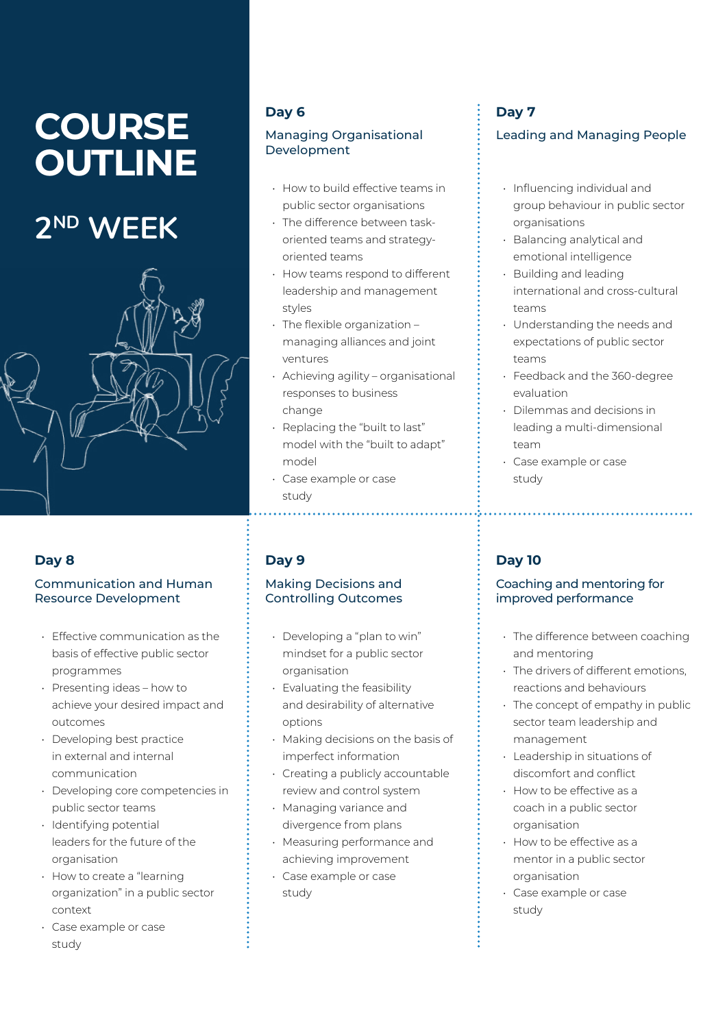# **COURSE OUTLINE**

# **2ND WEEK**



#### **Day 8**

#### Communication and Human Resource Development

- Effective communication as the basis of effective public sector programmes
- Presenting ideas how to achieve your desired impact and outcomes
- Developing best practice in external and internal communication
- Developing core competencies in public sector teams
- Identifying potential leaders for the future of the organisation
- How to create a "learning organization" in a public sector context
- Case example or case study

### **Day 6**

#### Managing Organisational Development

- How to build effective teams in public sector organisations
- The difference between taskoriented teams and strategyoriented teams
- How teams respond to different leadership and management styles
- The flexible organization managing alliances and joint ventures
- Achieving agility organisational responses to business change
- Replacing the "built to last" model with the "built to adapt" model
- Case example or case study

## **Day 9**

#### Making Decisions and Controlling Outcomes

- Developing a "plan to win" mindset for a public sector organisation
- Evaluating the feasibility and desirability of alternative options
- Making decisions on the basis of imperfect information
- Creating a publicly accountable review and control system
- Managing variance and divergence from plans
- Measuring performance and achieving improvement
- Case example or case study

## **Day 7**

#### Leading and Managing People

- Influencing individual and group behaviour in public sector organisations
- Balancing analytical and emotional intelligence
- Building and leading international and cross-cultural teams
- Understanding the needs and expectations of public sector teams
- Feedback and the 360-degree evaluation
- Dilemmas and decisions in leading a multi-dimensional team
- Case example or case study

## **Day 10**

#### Coaching and mentoring for improved performance

• The difference between coaching and mentoring

- The drivers of different emotions, reactions and behaviours
- The concept of empathy in public sector team leadership and management
- Leadership in situations of discomfort and conflict
- How to be effective as a coach in a public sector organisation
- How to be effective as a mentor in a public sector organisation
- Case example or case study